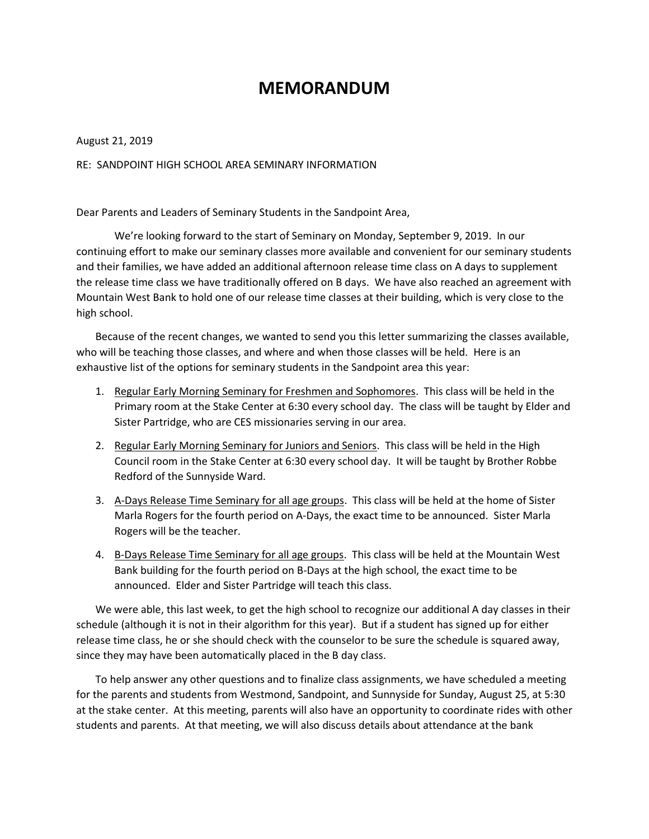## **MEMORANDUM**

August 21, 2019

RE: SANDPOINT HIGH SCHOOL AREA SEMINARY INFORMATION

Dear Parents and Leaders of Seminary Students in the Sandpoint Area,

We're looking forward to the start of Seminary on Monday, September 9, 2019. In our continuing effort to make our seminary classes more available and convenient for our seminary students and their families, we have added an additional afternoon release time class on A days to supplement the release time class we have traditionally offered on B days. We have also reached an agreement with Mountain West Bank to hold one of our release time classes at their building, which is very close to the high school.

Because of the recent changes, we wanted to send you this letter summarizing the classes available, who will be teaching those classes, and where and when those classes will be held. Here is an exhaustive list of the options for seminary students in the Sandpoint area this year:

- 1. Regular Early Morning Seminary for Freshmen and Sophomores. This class will be held in the Primary room at the Stake Center at 6:30 every school day. The class will be taught by Elder and Sister Partridge, who are CES missionaries serving in our area.
- 2. Regular Early Morning Seminary for Juniors and Seniors. This class will be held in the High Council room in the Stake Center at 6:30 every school day. It will be taught by Brother Robbe Redford of the Sunnyside Ward.
- 3. A-Days Release Time Seminary for all age groups. This class will be held at the home of Sister Marla Rogers for the fourth period on A-Days, the exact time to be announced. Sister Marla Rogers will be the teacher.
- 4. B-Days Release Time Seminary for all age groups. This class will be held at the Mountain West Bank building for the fourth period on B-Days at the high school, the exact time to be announced. Elder and Sister Partridge will teach this class.

We were able, this last week, to get the high school to recognize our additional A day classes in their schedule (although it is not in their algorithm for this year). But if a student has signed up for either release time class, he or she should check with the counselor to be sure the schedule is squared away, since they may have been automatically placed in the B day class.

To help answer any other questions and to finalize class assignments, we have scheduled a meeting for the parents and students from Westmond, Sandpoint, and Sunnyside for Sunday, August 25, at 5:30 at the stake center. At this meeting, parents will also have an opportunity to coordinate rides with other students and parents. At that meeting, we will also discuss details about attendance at the bank